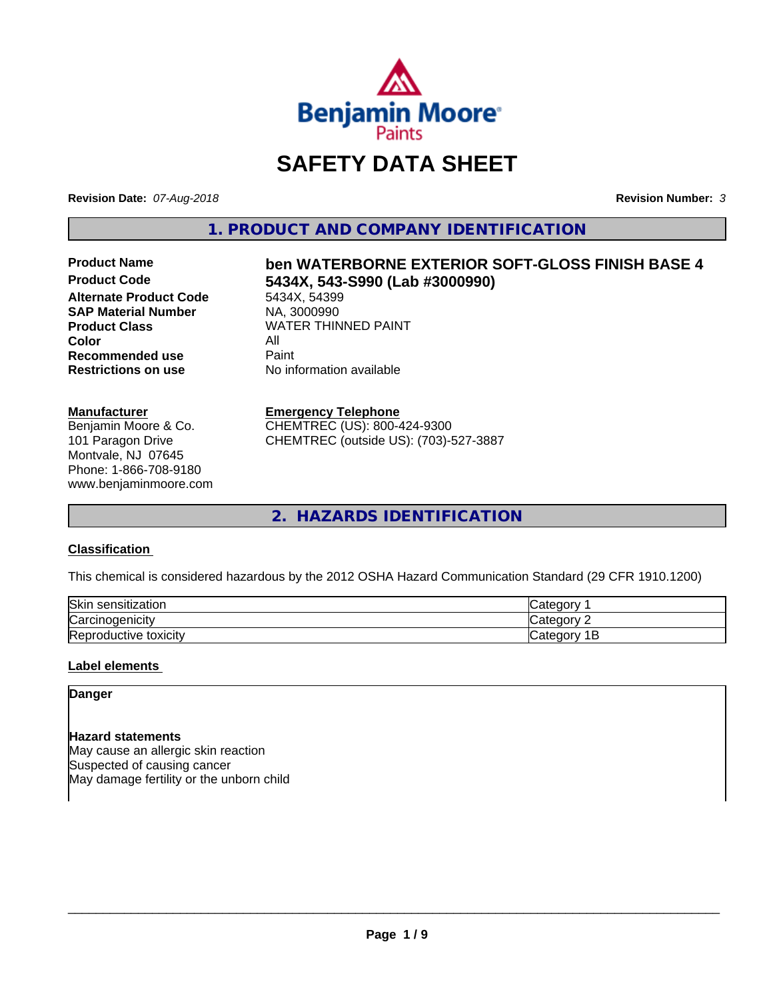

# **SAFETY DATA SHEET**

**Revision Date:** *07-Aug-2018* **Revision Number:** *3*

**1. PRODUCT AND COMPANY IDENTIFICATION**

**Alternate Product Code** 5434X, 54399<br> **SAP Material Number** NA, 3000990 **SAP Material Number Color** All **Recommended use** Paint

#### **Manufacturer**

Benjamin Moore & Co. 101 Paragon Drive Montvale, NJ 07645 Phone: 1-866-708-9180 www.benjaminmoore.com

# Product Name **ben WATERBORNE EXTERIOR SOFT-GLOSS FINISH BASE 4**<br>Product Code **6234X 543-8990 (Lab #3000990) Product Code 5434X, 543-S990 (Lab #3000990)**

**Product Class** WATER THINNED PAINT<br>
Color **Restrictions on use** No information available

### **Emergency Telephone**

CHEMTREC (US): 800-424-9300 CHEMTREC (outside US): (703)-527-3887

**2. HAZARDS IDENTIFICATION**

#### **Classification**

This chemical is considered hazardous by the 2012 OSHA Hazard Communication Standard (29 CFR 1910.1200)

| Skir<br>$+70+10n$<br>sen<br>nsitization |        |
|-----------------------------------------|--------|
| ∼<br>√ar⁄<br>…∪aenicit∨                 | 10     |
| Repr<br>toxicity<br>oductive            | <br>ــ |

#### **Label elements**

### **Danger**

#### **Hazard statements**

May cause an allergic skin reaction Suspected of causing cancer May damage fertility or the unborn child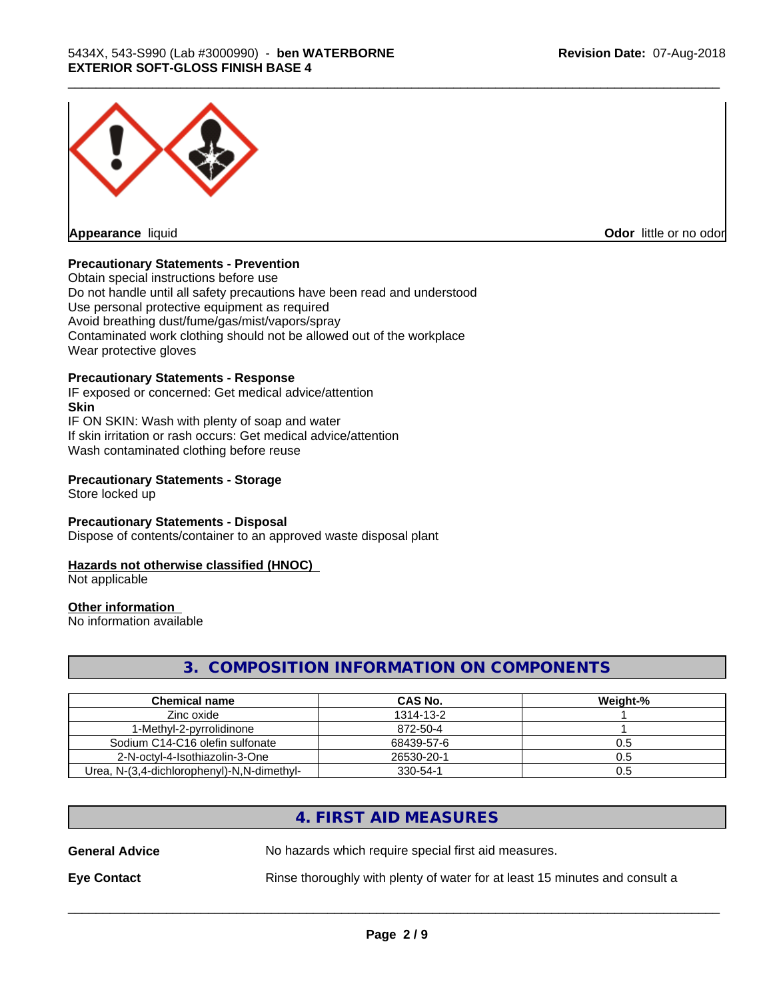

**Appearance** liquid **CODO** *Appearance liquid* **Odor** *CODO CODO* **<b>***CODO CODO CODO CODO CODO* 

#### **Precautionary Statements - Prevention**

Obtain special instructions before use Do not handle until all safety precautions have been read and understood Use personal protective equipment as required Avoid breathing dust/fume/gas/mist/vapors/spray Contaminated work clothing should not be allowed out of the workplace Wear protective gloves

#### **Precautionary Statements - Response**

IF exposed or concerned: Get medical advice/attention **Skin** IF ON SKIN: Wash with plenty of soap and water If skin irritation or rash occurs: Get medical advice/attention Wash contaminated clothing before reuse

#### **Precautionary Statements - Storage**

Store locked up

#### **Precautionary Statements - Disposal**

Dispose of contents/container to an approved waste disposal plant

#### **Hazards not otherwise classified (HNOC)**

Not applicable

#### **Other information**

No information available

### **3. COMPOSITION INFORMATION ON COMPONENTS**

\_\_\_\_\_\_\_\_\_\_\_\_\_\_\_\_\_\_\_\_\_\_\_\_\_\_\_\_\_\_\_\_\_\_\_\_\_\_\_\_\_\_\_\_\_\_\_\_\_\_\_\_\_\_\_\_\_\_\_\_\_\_\_\_\_\_\_\_\_\_\_\_\_\_\_\_\_\_\_\_\_\_\_\_\_\_\_\_\_\_\_\_\_

| <b>Chemical name</b>                       | CAS No.    | Weight-% |
|--------------------------------------------|------------|----------|
| Zinc oxide                                 | 1314-13-2  |          |
| 1-Methyl-2-pyrrolidinone                   | 872-50-4   |          |
| Sodium C14-C16 olefin sulfonate            | 68439-57-6 | 0.5      |
| 2-N-octvl-4-Isothiazolin-3-One             | 26530-20-1 | 0.5      |
| Urea, N-(3,4-dichlorophenyl)-N,N-dimethyl- | 330-54-1   | 0.5      |

### **4. FIRST AID MEASURES**

**General Advice** No hazards which require special first aid measures.

**Eye Contact Rinse thoroughly with plenty of water for at least 15 minutes and consult a**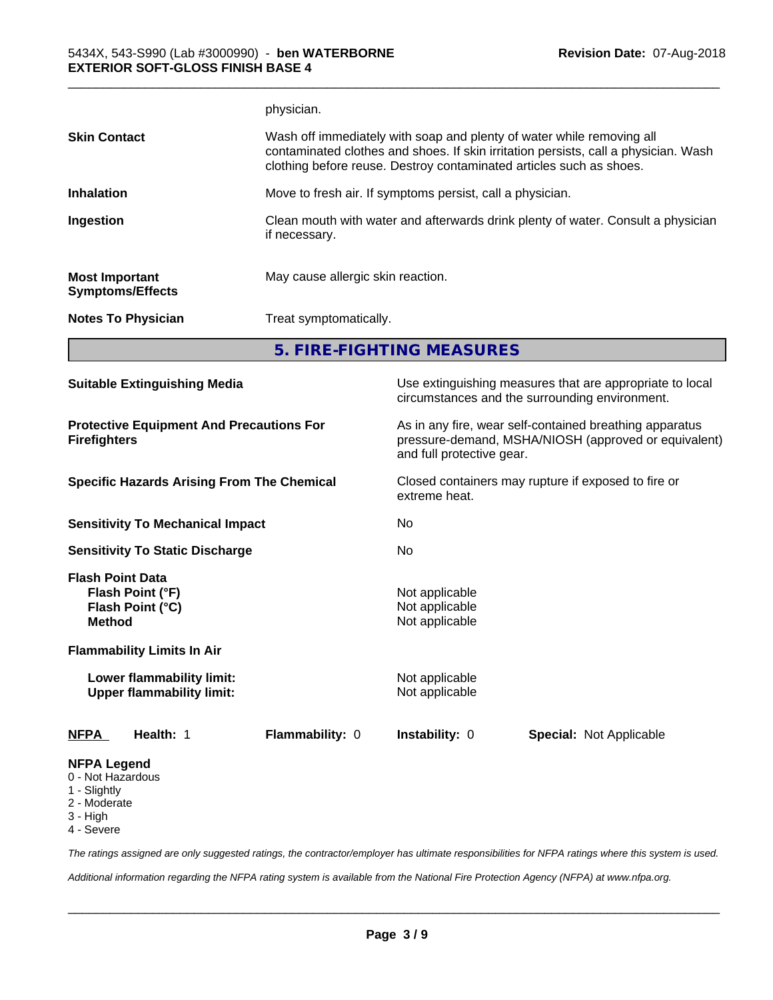|                                                  | physician.                                                                                                                                                                                                                          |
|--------------------------------------------------|-------------------------------------------------------------------------------------------------------------------------------------------------------------------------------------------------------------------------------------|
| <b>Skin Contact</b>                              | Wash off immediately with soap and plenty of water while removing all<br>contaminated clothes and shoes. If skin irritation persists, call a physician. Wash<br>clothing before reuse. Destroy contaminated articles such as shoes. |
| <b>Inhalation</b>                                | Move to fresh air. If symptoms persist, call a physician.                                                                                                                                                                           |
| Ingestion                                        | Clean mouth with water and afterwards drink plenty of water. Consult a physician<br>if necessary.                                                                                                                                   |
| <b>Most Important</b><br><b>Symptoms/Effects</b> | May cause allergic skin reaction.                                                                                                                                                                                                   |
| <b>Notes To Physician</b>                        | Treat symptomatically.                                                                                                                                                                                                              |
|                                                  |                                                                                                                                                                                                                                     |

\_\_\_\_\_\_\_\_\_\_\_\_\_\_\_\_\_\_\_\_\_\_\_\_\_\_\_\_\_\_\_\_\_\_\_\_\_\_\_\_\_\_\_\_\_\_\_\_\_\_\_\_\_\_\_\_\_\_\_\_\_\_\_\_\_\_\_\_\_\_\_\_\_\_\_\_\_\_\_\_\_\_\_\_\_\_\_\_\_\_\_\_\_

**5. FIRE-FIGHTING MEASURES**

| <b>Suitable Extinguishing Media</b>                                              | Use extinguishing measures that are appropriate to local<br>circumstances and the surrounding environment.                                   |  |  |
|----------------------------------------------------------------------------------|----------------------------------------------------------------------------------------------------------------------------------------------|--|--|
| <b>Protective Equipment And Precautions For</b><br><b>Firefighters</b>           | As in any fire, wear self-contained breathing apparatus<br>pressure-demand, MSHA/NIOSH (approved or equivalent)<br>and full protective gear. |  |  |
| <b>Specific Hazards Arising From The Chemical</b>                                | Closed containers may rupture if exposed to fire or<br>extreme heat.                                                                         |  |  |
| <b>Sensitivity To Mechanical Impact</b>                                          | No.                                                                                                                                          |  |  |
| <b>Sensitivity To Static Discharge</b>                                           | No.                                                                                                                                          |  |  |
| <b>Flash Point Data</b><br>Flash Point (°F)<br>Flash Point (°C)<br><b>Method</b> | Not applicable<br>Not applicable<br>Not applicable                                                                                           |  |  |
| <b>Flammability Limits In Air</b>                                                |                                                                                                                                              |  |  |
| Lower flammability limit:<br><b>Upper flammability limit:</b>                    | Not applicable<br>Not applicable                                                                                                             |  |  |
| Health: 1<br>Flammability: 0<br><b>NFPA</b>                                      | <b>Instability: 0</b><br><b>Special: Not Applicable</b>                                                                                      |  |  |
| <b>NFPA Legend</b><br>0 - Not Hazardous                                          |                                                                                                                                              |  |  |

- 
- 1 Slightly
- 2 Moderate 3 - High
- 

4 - Severe

*The ratings assigned are only suggested ratings, the contractor/employer has ultimate responsibilities for NFPA ratings where this system is used.*

*Additional information regarding the NFPA rating system is available from the National Fire Protection Agency (NFPA) at www.nfpa.org.*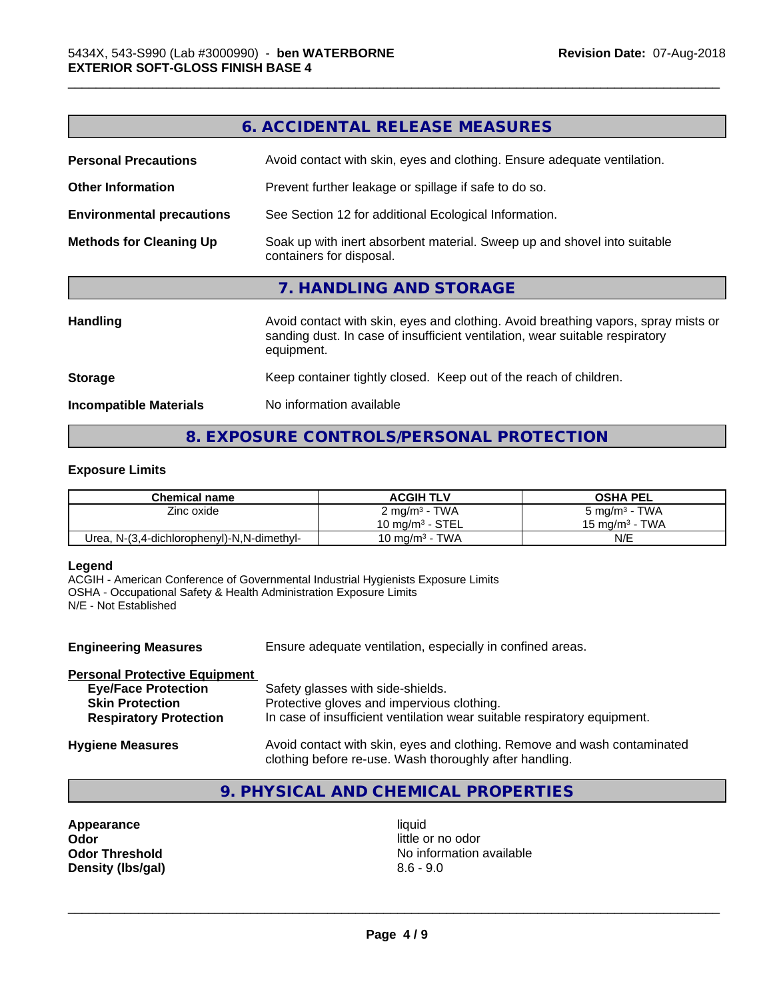|                                  | 6. ACCIDENTAL RELEASE MEASURES                                                                                                                                                   |  |  |
|----------------------------------|----------------------------------------------------------------------------------------------------------------------------------------------------------------------------------|--|--|
| <b>Personal Precautions</b>      | Avoid contact with skin, eyes and clothing. Ensure adequate ventilation.                                                                                                         |  |  |
| <b>Other Information</b>         | Prevent further leakage or spillage if safe to do so.                                                                                                                            |  |  |
| <b>Environmental precautions</b> | See Section 12 for additional Ecological Information.                                                                                                                            |  |  |
| <b>Methods for Cleaning Up</b>   | Soak up with inert absorbent material. Sweep up and shovel into suitable<br>containers for disposal.                                                                             |  |  |
|                                  | 7. HANDLING AND STORAGE                                                                                                                                                          |  |  |
| <b>Handling</b>                  | Avoid contact with skin, eyes and clothing. Avoid breathing vapors, spray mists or<br>sanding dust. In case of insufficient ventilation, wear suitable respiratory<br>equipment. |  |  |
| <b>Storage</b>                   | Keep container tightly closed. Keep out of the reach of children.                                                                                                                |  |  |
| <b>Incompatible Materials</b>    | No information available                                                                                                                                                         |  |  |

\_\_\_\_\_\_\_\_\_\_\_\_\_\_\_\_\_\_\_\_\_\_\_\_\_\_\_\_\_\_\_\_\_\_\_\_\_\_\_\_\_\_\_\_\_\_\_\_\_\_\_\_\_\_\_\_\_\_\_\_\_\_\_\_\_\_\_\_\_\_\_\_\_\_\_\_\_\_\_\_\_\_\_\_\_\_\_\_\_\_\_\_\_

### **8. EXPOSURE CONTROLS/PERSONAL PROTECTION**

#### **Exposure Limits**

| <b>Chemical name</b>                       | <b>ACGIH TLV</b>         | <b>OSHA PEL</b>           |
|--------------------------------------------|--------------------------|---------------------------|
| Zinc oxide                                 | $2 \text{ mg/m}^3$ - TWA | 5 mg/m <sup>3</sup> - TWA |
|                                            | 10 mg/m $3$ - STEL       | 15 mg/m $3$ - TWA         |
| Urea, N-(3,4-dichlorophenyl)-N,N-dimethyl- | 10 mg/m $3$ - TWA        | N/E                       |

#### **Legend**

ACGIH - American Conference of Governmental Industrial Hygienists Exposure Limits OSHA - Occupational Safety & Health Administration Exposure Limits N/E - Not Established

| <b>Engineering Measures</b>          | Ensure adequate ventilation, especially in confined areas.                                                                          |
|--------------------------------------|-------------------------------------------------------------------------------------------------------------------------------------|
| <b>Personal Protective Equipment</b> |                                                                                                                                     |
| <b>Eye/Face Protection</b>           | Safety glasses with side-shields.                                                                                                   |
| <b>Skin Protection</b>               | Protective gloves and impervious clothing.                                                                                          |
| <b>Respiratory Protection</b>        | In case of insufficient ventilation wear suitable respiratory equipment.                                                            |
| <b>Hygiene Measures</b>              | Avoid contact with skin, eyes and clothing. Remove and wash contaminated<br>clothing before re-use. Wash thoroughly after handling. |

### **9. PHYSICAL AND CHEMICAL PROPERTIES**

**Appearance** liquid **Odor** liquid liquid little of **Odor**<br> **Odor Threshold**<br> **Odor Threshold**<br> **Odor Threshold**<br> **Odor Threshold Density (lbs/gal)** 

**No information available** 8.6 - 9.0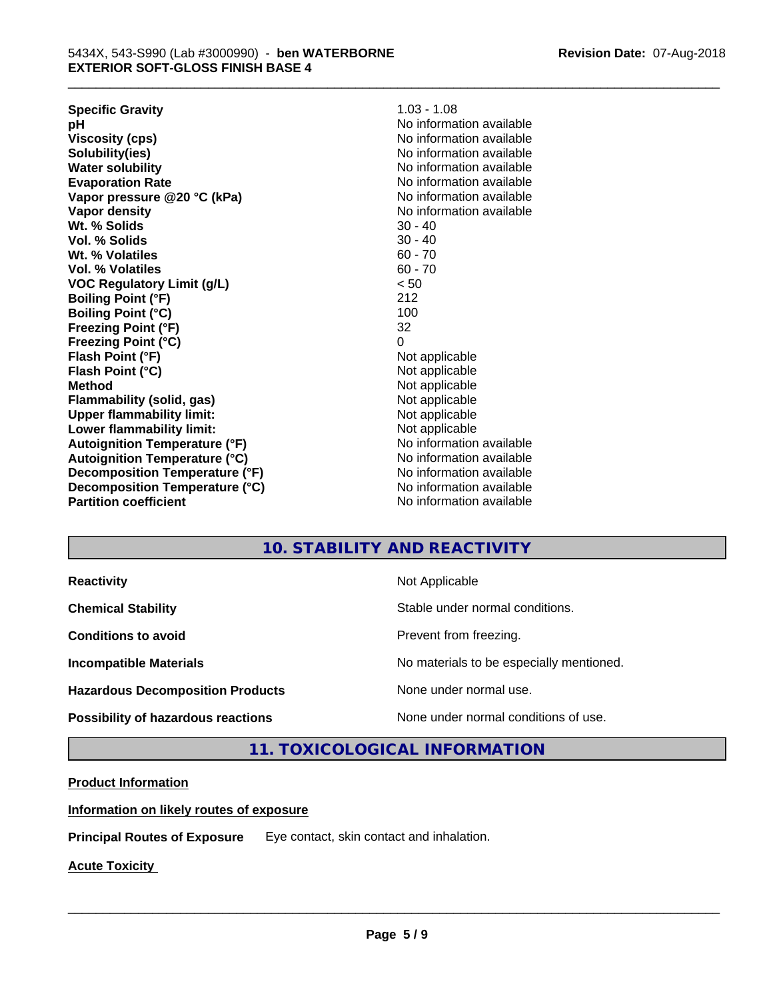| <b>Specific Gravity</b>              | $1.03 - 1.08$            |
|--------------------------------------|--------------------------|
| рH                                   | No information available |
| <b>Viscosity (cps)</b>               | No information available |
| Solubility(ies)                      | No information available |
| <b>Water solubility</b>              | No information available |
| <b>Evaporation Rate</b>              | No information available |
| Vapor pressure @20 °C (kPa)          | No information available |
| Vapor density                        | No information available |
| Wt. % Solids                         | $30 - 40$                |
| Vol. % Solids                        | $30 - 40$                |
| Wt. % Volatiles                      | $60 - 70$                |
| Vol. % Volatiles                     | $60 - 70$                |
| <b>VOC Regulatory Limit (g/L)</b>    | < 50                     |
| <b>Boiling Point (°F)</b>            | 212                      |
| <b>Boiling Point (°C)</b>            | 100                      |
| <b>Freezing Point (°F)</b>           | 32                       |
| <b>Freezing Point (°C)</b>           | 0                        |
| Flash Point (°F)                     | Not applicable           |
| Flash Point (°C)                     | Not applicable           |
| <b>Method</b>                        | Not applicable           |
| <b>Flammability (solid, gas)</b>     | Not applicable           |
| <b>Upper flammability limit:</b>     | Not applicable           |
| Lower flammability limit:            | Not applicable           |
| <b>Autoignition Temperature (°F)</b> | No information available |
| <b>Autoignition Temperature (°C)</b> | No information available |
| Decomposition Temperature (°F)       | No information available |
| Decomposition Temperature (°C)       | No information available |
| <b>Partition coefficient</b>         | No information available |
|                                      |                          |

\_\_\_\_\_\_\_\_\_\_\_\_\_\_\_\_\_\_\_\_\_\_\_\_\_\_\_\_\_\_\_\_\_\_\_\_\_\_\_\_\_\_\_\_\_\_\_\_\_\_\_\_\_\_\_\_\_\_\_\_\_\_\_\_\_\_\_\_\_\_\_\_\_\_\_\_\_\_\_\_\_\_\_\_\_\_\_\_\_\_\_\_\_

### **10. STABILITY AND REACTIVITY**

**Hazardous Decomposition Products** None under normal use.

**Reactivity Not Applicable** 

**Chemical Stability Stability** Stable under normal conditions.

**Conditions to avoid Conditions to avoid Prevent from freezing.** 

**Incompatible Materials No materials** No materials to be especially mentioned.

 $\overline{\phantom{a}}$  ,  $\overline{\phantom{a}}$  ,  $\overline{\phantom{a}}$  ,  $\overline{\phantom{a}}$  ,  $\overline{\phantom{a}}$  ,  $\overline{\phantom{a}}$  ,  $\overline{\phantom{a}}$  ,  $\overline{\phantom{a}}$  ,  $\overline{\phantom{a}}$  ,  $\overline{\phantom{a}}$  ,  $\overline{\phantom{a}}$  ,  $\overline{\phantom{a}}$  ,  $\overline{\phantom{a}}$  ,  $\overline{\phantom{a}}$  ,  $\overline{\phantom{a}}$  ,  $\overline{\phantom{a}}$ 

**Possibility of hazardous reactions** None under normal conditions of use.

**11. TOXICOLOGICAL INFORMATION**

#### **Product Information**

**Information on likely routes of exposure**

**Principal Routes of Exposure** Eye contact, skin contact and inhalation.

**Acute Toxicity**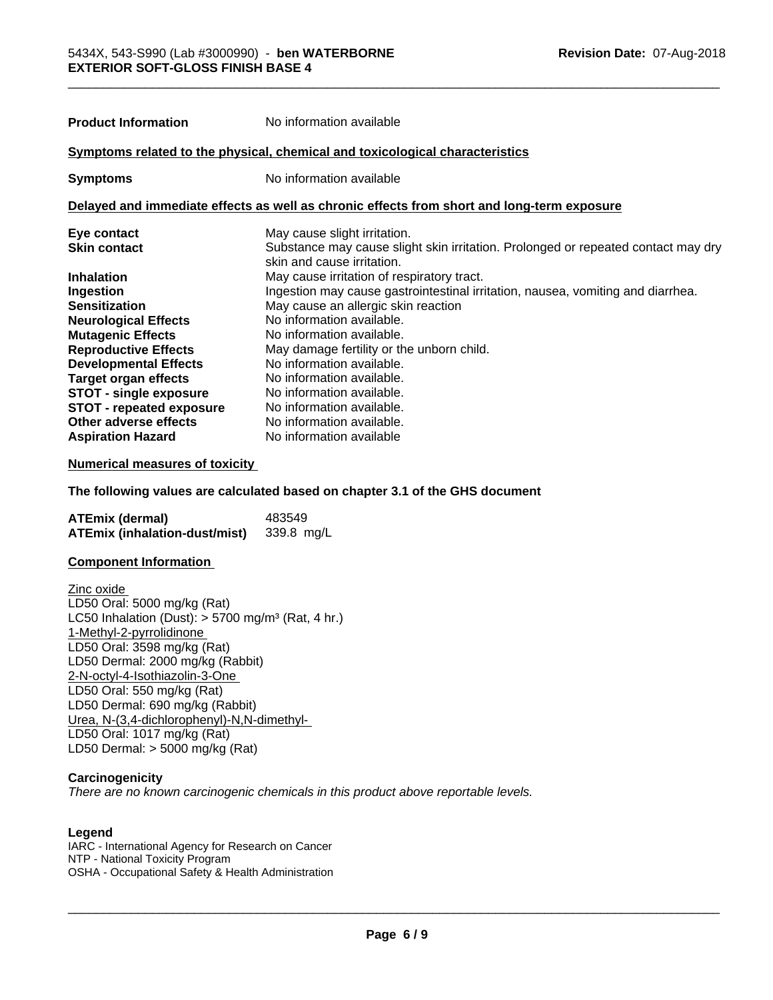| <b>Product Information</b>                                                                                                                                                                                                                                                                                                                                                                                                                                       | No information available                                                                                                                                                                                                                                                                                                                                                                                                                                 |  |  |
|------------------------------------------------------------------------------------------------------------------------------------------------------------------------------------------------------------------------------------------------------------------------------------------------------------------------------------------------------------------------------------------------------------------------------------------------------------------|----------------------------------------------------------------------------------------------------------------------------------------------------------------------------------------------------------------------------------------------------------------------------------------------------------------------------------------------------------------------------------------------------------------------------------------------------------|--|--|
| Symptoms related to the physical, chemical and toxicological characteristics                                                                                                                                                                                                                                                                                                                                                                                     |                                                                                                                                                                                                                                                                                                                                                                                                                                                          |  |  |
| <b>Symptoms</b>                                                                                                                                                                                                                                                                                                                                                                                                                                                  | No information available                                                                                                                                                                                                                                                                                                                                                                                                                                 |  |  |
|                                                                                                                                                                                                                                                                                                                                                                                                                                                                  | Delayed and immediate effects as well as chronic effects from short and long-term exposure                                                                                                                                                                                                                                                                                                                                                               |  |  |
| Eye contact<br><b>Skin contact</b>                                                                                                                                                                                                                                                                                                                                                                                                                               | May cause slight irritation.<br>Substance may cause slight skin irritation. Prolonged or repeated contact may dry<br>skin and cause irritation.                                                                                                                                                                                                                                                                                                          |  |  |
| <b>Inhalation</b><br>Ingestion<br><b>Sensitization</b><br><b>Neurological Effects</b><br><b>Mutagenic Effects</b><br><b>Reproductive Effects</b><br><b>Developmental Effects</b><br><b>Target organ effects</b><br><b>STOT - single exposure</b><br><b>STOT - repeated exposure</b><br>Other adverse effects<br><b>Aspiration Hazard</b>                                                                                                                         | May cause irritation of respiratory tract.<br>Ingestion may cause gastrointestinal irritation, nausea, vomiting and diarrhea.<br>May cause an allergic skin reaction<br>No information available.<br>No information available.<br>May damage fertility or the unborn child.<br>No information available.<br>No information available.<br>No information available.<br>No information available.<br>No information available.<br>No information available |  |  |
| <b>Numerical measures of toxicity</b>                                                                                                                                                                                                                                                                                                                                                                                                                            |                                                                                                                                                                                                                                                                                                                                                                                                                                                          |  |  |
|                                                                                                                                                                                                                                                                                                                                                                                                                                                                  | The following values are calculated based on chapter 3.1 of the GHS document                                                                                                                                                                                                                                                                                                                                                                             |  |  |
| <b>ATEmix (dermal)</b><br><b>ATEmix (inhalation-dust/mist)</b>                                                                                                                                                                                                                                                                                                                                                                                                   | 483549<br>339.8 mg/L                                                                                                                                                                                                                                                                                                                                                                                                                                     |  |  |
| <b>Component Information</b><br>Zinc oxide<br>LD50 Oral: 5000 mg/kg (Rat)<br>LC50 Inhalation (Dust): $> 5700$ mg/m <sup>3</sup> (Rat, 4 hr.)<br>1-Methyl-2-pyrrolidinone<br>LD50 Oral: 3598 mg/kg (Rat)<br>LD50 Dermal: 2000 mg/kg (Rabbit)<br>2-N-octyl-4-Isothiazolin-3-One<br>LD50 Oral: 550 mg/kg (Rat)<br>LD50 Dermal: 690 mg/kg (Rabbit)<br>Urea, N-(3,4-dichlorophenyl)-N,N-dimethyl-<br>LD50 Oral: 1017 mg/kg (Rat)<br>LD50 Dermal: $>$ 5000 mg/kg (Rat) |                                                                                                                                                                                                                                                                                                                                                                                                                                                          |  |  |

#### **Carcinogenicity**

*There are no known carcinogenic chemicals in this product above reportable levels.*

#### **Legend**

IARC - International Agency for Research on Cancer NTP - National Toxicity Program OSHA - Occupational Safety & Health Administration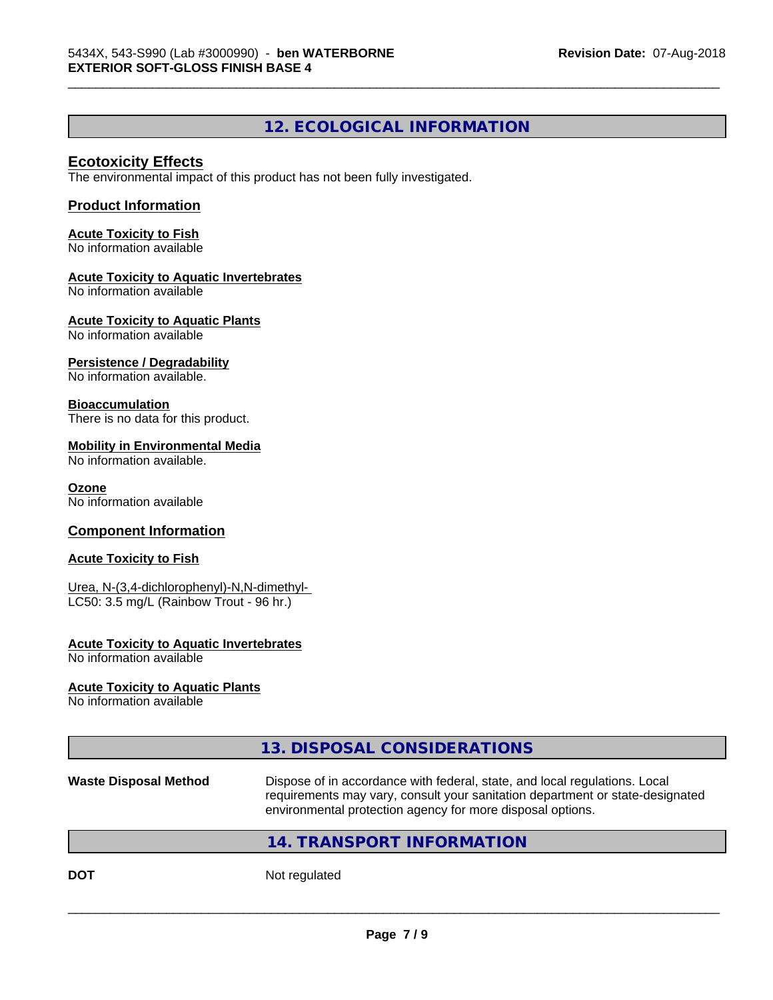### **12. ECOLOGICAL INFORMATION**

\_\_\_\_\_\_\_\_\_\_\_\_\_\_\_\_\_\_\_\_\_\_\_\_\_\_\_\_\_\_\_\_\_\_\_\_\_\_\_\_\_\_\_\_\_\_\_\_\_\_\_\_\_\_\_\_\_\_\_\_\_\_\_\_\_\_\_\_\_\_\_\_\_\_\_\_\_\_\_\_\_\_\_\_\_\_\_\_\_\_\_\_\_

#### **Ecotoxicity Effects**

The environmental impact of this product has not been fully investigated.

#### **Product Information**

**Acute Toxicity to Fish** No information available

#### **Acute Toxicity to Aquatic Invertebrates**

No information available

**Acute Toxicity to Aquatic Plants**

No information available

#### **Persistence / Degradability**

No information available.

#### **Bioaccumulation**

There is no data for this product.

#### **Mobility in Environmental Media**

No information available.

#### **Ozone**

No information available

#### **Component Information**

#### **Acute Toxicity to Fish**

#### Urea, N-(3,4-dichlorophenyl)-N,N-dimethyl- LC50: 3.5 mg/L (Rainbow Trout - 96 hr.)

### **Acute Toxicity to Aquatic Invertebrates**

No information available

#### **Acute Toxicity to Aquatic Plants**

No information available

### **13. DISPOSAL CONSIDERATIONS**

**Waste Disposal Method** Dispose of in accordance with federal, state, and local regulations. Local requirements may vary, consult your sanitation department or state-designated environmental protection agency for more disposal options.

 $\overline{\phantom{a}}$  ,  $\overline{\phantom{a}}$  ,  $\overline{\phantom{a}}$  ,  $\overline{\phantom{a}}$  ,  $\overline{\phantom{a}}$  ,  $\overline{\phantom{a}}$  ,  $\overline{\phantom{a}}$  ,  $\overline{\phantom{a}}$  ,  $\overline{\phantom{a}}$  ,  $\overline{\phantom{a}}$  ,  $\overline{\phantom{a}}$  ,  $\overline{\phantom{a}}$  ,  $\overline{\phantom{a}}$  ,  $\overline{\phantom{a}}$  ,  $\overline{\phantom{a}}$  ,  $\overline{\phantom{a}}$ 

### **14. TRANSPORT INFORMATION**

**DOT** Not regulated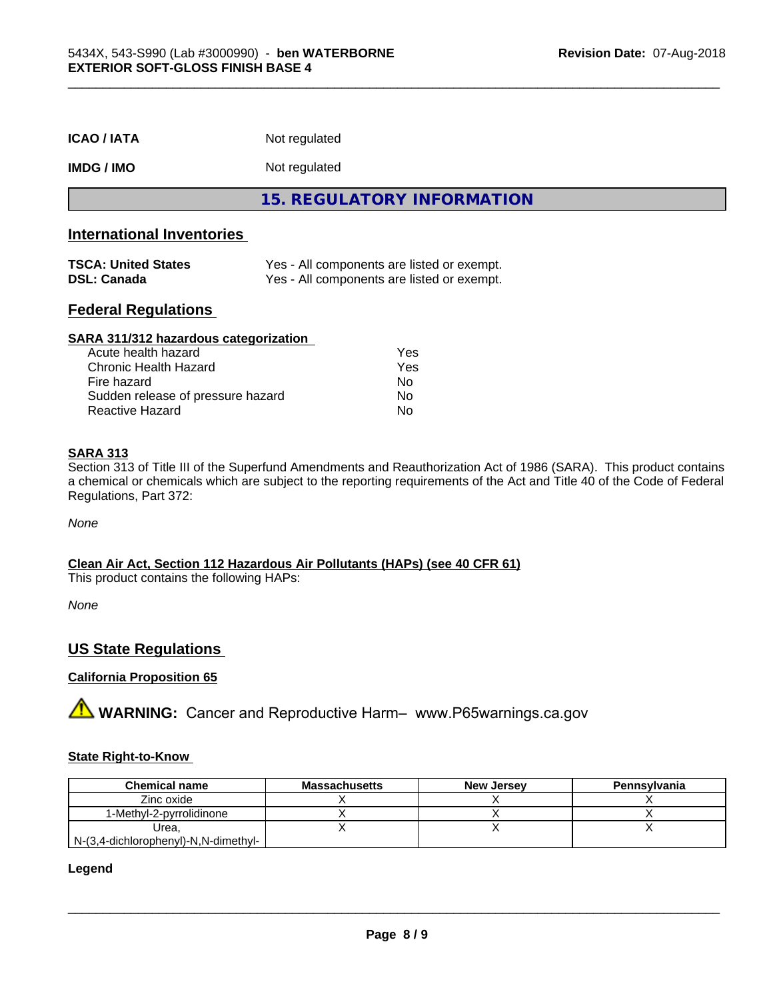| <b>ICAO / IATA</b>                               | Not regulated                                                                            |
|--------------------------------------------------|------------------------------------------------------------------------------------------|
| IMDG / IMO                                       | Not regulated                                                                            |
|                                                  | 15. REGULATORY INFORMATION                                                               |
| <b>International Inventories</b>                 |                                                                                          |
| <b>TSCA: United States</b><br><b>DSL: Canada</b> | Yes - All components are listed or exempt.<br>Yes - All components are listed or exempt. |

### **Federal Regulations**

| SARA 311/312 hazardous categorization |     |  |
|---------------------------------------|-----|--|
| Acute health hazard                   | Yes |  |
| Chronic Health Hazard                 | Yes |  |
| Fire hazard                           | Nο  |  |
| Sudden release of pressure hazard     | No  |  |
| Reactive Hazard                       | No  |  |

#### **SARA 313**

Section 313 of Title III of the Superfund Amendments and Reauthorization Act of 1986 (SARA). This product contains a chemical or chemicals which are subject to the reporting requirements of the Act and Title 40 of the Code of Federal Regulations, Part 372:

\_\_\_\_\_\_\_\_\_\_\_\_\_\_\_\_\_\_\_\_\_\_\_\_\_\_\_\_\_\_\_\_\_\_\_\_\_\_\_\_\_\_\_\_\_\_\_\_\_\_\_\_\_\_\_\_\_\_\_\_\_\_\_\_\_\_\_\_\_\_\_\_\_\_\_\_\_\_\_\_\_\_\_\_\_\_\_\_\_\_\_\_\_

*None*

#### **Clean Air Act,Section 112 Hazardous Air Pollutants (HAPs) (see 40 CFR 61)**

This product contains the following HAPs:

*None*

### **US State Regulations**

#### **California Proposition 65**

**A WARNING:** Cancer and Reproductive Harm– www.P65warnings.ca.gov

#### **State Right-to-Know**

| <b>Chemical name</b>                 | <b>Massachusetts</b> | <b>New Jersey</b> | Pennsylvania |
|--------------------------------------|----------------------|-------------------|--------------|
| Zinc oxide                           |                      |                   |              |
| 1-Methvl-2-pvrrolidinone             |                      |                   |              |
| Urea.                                |                      |                   |              |
| N-(3,4-dichlorophenyl)-N,N-dimethyl- |                      |                   |              |

#### **Legend**